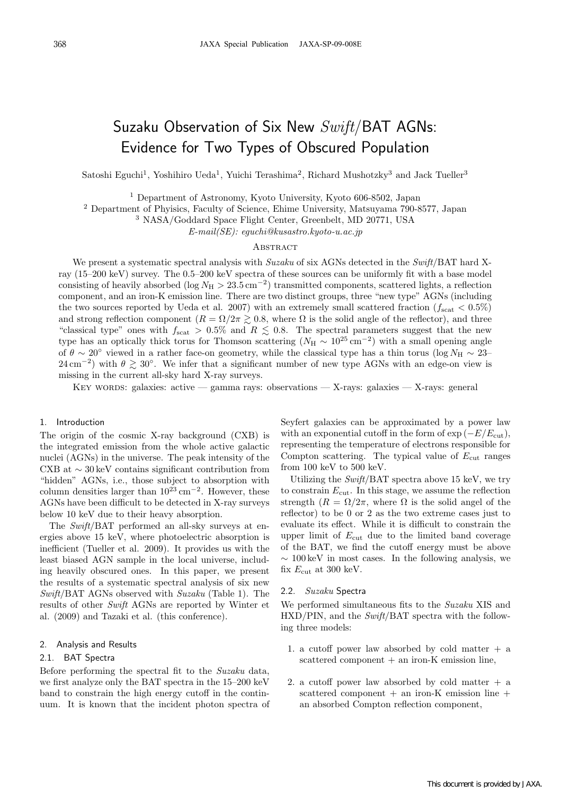# Suzaku Observation of Six New Swift/BAT AGNs: Evidence for Two Types of Obscured Population

Satoshi Eguchi<sup>1</sup>, Yoshihiro Ueda<sup>1</sup>, Yuichi Terashima<sup>2</sup>, Richard Mushotzky<sup>3</sup> and Jack Tueller<sup>3</sup>

<sup>1</sup> Department of Astronomy, Kyoto University, Kyoto 606-8502, Japan

<sup>2</sup> Department of Phyisics, Faculty of Science, Ehime University, Matsuyama 790-8577, Japan

<sup>3</sup> NASA/Goddard Space Flight Center, Greenbelt, MD 20771, USA

E-mail(SE): eguchi@kusastro.kyoto-u.ac.jp

### **ABSTRACT**

We present a systematic spectral analysis with Suzaku of six AGNs detected in the Swift/BAT hard Xray (15–200 keV) survey. The 0.5–200 keV spectra of these sources can be uniformly fit with a base model consisting of heavily absorbed (log  $N_H > 23.5 \text{ cm}^{-2}$ ) transmitted components, scattered lights, a reflection component, and an iron-K emission line. There are two distinct groups, three "new type" AGNs (including the two sources reported by Ueda et al. 2007) with an extremely small scattered fraction  $(f_{scat} < 0.5\%)$ and strong reflection component  $(R = \Omega/2\pi \geq 0.8$ , where  $\Omega$  is the solid angle of the reflector), and three "classical type" ones with  $f_{scat} > 0.5\%$  and  $R \leq 0.8$ . The spectral parameters suggest that the new type has an optically thick torus for Thomson scattering ( $N_H \sim 10^{25}$  cm<sup>-2</sup>) with a small opening angle of  $\theta \sim 20^{\circ}$  viewed in a rather face-on geometry, while the classical type has a thin torus (log  $N_H \sim 23$ – 24 cm<sup>-2</sup>) with  $\theta \gtrsim 30^\circ$ . We infer that a significant number of new type AGNs with an edge-on view is missing in the current all-sky hard X-ray surveys.

Key words: galaxies: active — gamma rays: observations — X-rays: galaxies — X-rays: general

#### 1. Introduction

The origin of the cosmic X-ray background (CXB) is the integrated emission from the whole active galactic nuclei (AGNs) in the universe. The peak intensity of the CXB at ∼ 30 keV contains significant contribution from "hidden" AGNs, i.e., those subject to absorption with column densities larger than  $10^{23}$  cm<sup>-2</sup>. However, these AGNs have been difficult to be detected in X-ray surveys below 10 keV due to their heavy absorption.

The Swift/BAT performed an all-sky surveys at energies above 15 keV, where photoelectric absorption is inefficient (Tueller et al. 2009). It provides us with the least biased AGN sample in the local universe, including heavily obscured ones. In this paper, we present the results of a systematic spectral analysis of six new  $Swift/BAT AGNs$  observed with  $Suzaku$  (Table 1). The results of other Swift AGNs are reported by Winter et al. (2009) and Tazaki et al. (this conference).

# 2. Analysis and Results

#### 2.1. BAT Spectra

Before performing the spectral fit to the Suzaku data, we first analyze only the BAT spectra in the 15–200 keV band to constrain the high energy cutoff in the continuum. It is known that the incident photon spectra of Seyfert galaxies can be approximated by a power law with an exponential cutoff in the form of  $\exp(-E/E_{\text{cut}})$ , representing the temperature of electrons responsible for Compton scattering. The typical value of  $E_{\text{cut}}$  ranges from 100 keV to 500 keV.

Utilizing the  $Swift/BAT$  spectra above 15 keV, we try to constrain  $E_{\text{cut}}$ . In this stage, we assume the reflection strength  $(R = \Omega/2\pi$ , where  $\Omega$  is the solid angel of the reflector) to be 0 or 2 as the two extreme cases just to evaluate its effect. While it is difficult to constrain the upper limit of  $E_{\text{cut}}$  due to the limited band coverage of the BAT, we find the cutoff energy must be above  $\sim 100 \,\text{keV}$  in most cases. In the following analysis, we fix  $E_{\text{cut}}$  at 300 keV.

## 2.2. Suzaku Spectra

We performed simultaneous fits to the Suzaku XIS and HXD/PIN, and the Swift/BAT spectra with the following three models:

- 1. a cutoff power law absorbed by cold matter  $+$  a scattered component + an iron-K emission line,
- 2. a cutoff power law absorbed by cold matter  $+$  a scattered component  $+$  an iron-K emission line  $+$ an absorbed Compton reflection component,